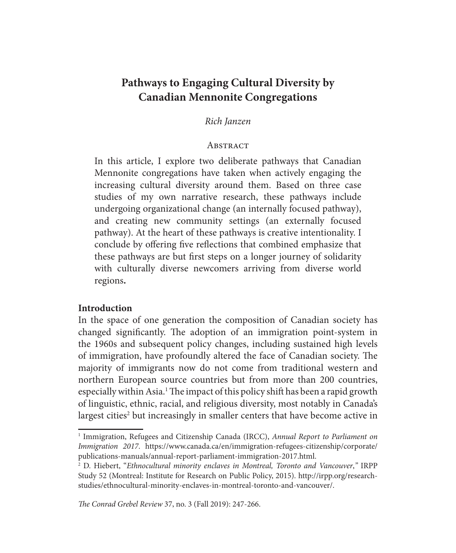# **Pathways to Engaging Cultural Diversity by Canadian Mennonite Congregations**

## *Rich Janzen*

#### **ABSTRACT**

In this article, I explore two deliberate pathways that Canadian Mennonite congregations have taken when actively engaging the increasing cultural diversity around them. Based on three case studies of my own narrative research, these pathways include undergoing organizational change (an internally focused pathway), and creating new community settings (an externally focused pathway). At the heart of these pathways is creative intentionality. I conclude by offering five reflections that combined emphasize that these pathways are but first steps on a longer journey of solidarity with culturally diverse newcomers arriving from diverse world regions**.** 

#### **Introduction**

In the space of one generation the composition of Canadian society has changed significantly. The adoption of an immigration point-system in the 1960s and subsequent policy changes, including sustained high levels of immigration, have profoundly altered the face of Canadian society. The majority of immigrants now do not come from traditional western and northern European source countries but from more than 200 countries, especially within Asia.<sup>1</sup> The impact of this policy shift has been a rapid growth of linguistic, ethnic, racial, and religious diversity, most notably in Canada's largest cities<sup>2</sup> but increasingly in smaller centers that have become active in

<sup>&</sup>lt;sup>1</sup> Immigration, Refugees and Citizenship Canada (IRCC), Annual Report to Parliament on *Immigration 2017*. https://www.canada.ca/en/immigration-refugees-citizenship/corporate/ publications-manuals/annual-report-parliament-immigration-2017.html.

<sup>2</sup> D. Hiebert, "*Ethnocultural minority enclaves in Montreal, Toronto and Vancouver*,*"* IRPP Study 52 (Montreal: Institute for Research on Public Policy, 2015). http://irpp.org/researchstudies/ethnocultural-minority-enclaves-in-montreal-toronto-and-vancouver/.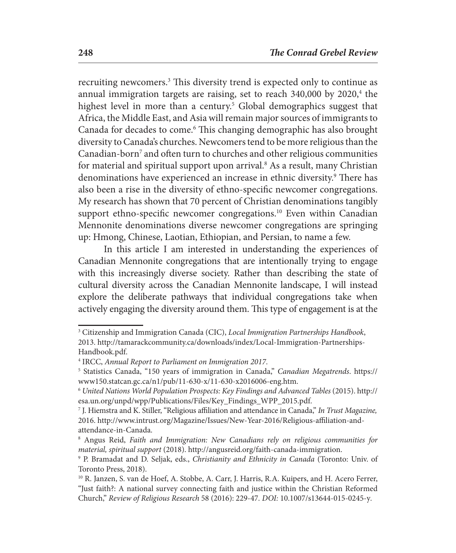recruiting newcomers.<sup>3</sup> This diversity trend is expected only to continue as annual immigration targets are raising, set to reach 340,000 by 2020,<sup>4</sup> the highest level in more than a century.<sup>5</sup> Global demographics suggest that Africa, the Middle East, and Asia will remain major sources of immigrants to Canada for decades to come.<sup>6</sup> This changing demographic has also brought diversity to Canada's churches. Newcomers tend to be more religious than the Canadian-born<sup>7</sup> and often turn to churches and other religious communities for material and spiritual support upon arrival.<sup>8</sup> As a result, many Christian denominations have experienced an increase in ethnic diversity.9 There has also been a rise in the diversity of ethno-specific newcomer congregations. My research has shown that 70 percent of Christian denominations tangibly support ethno-specific newcomer congregations.<sup>10</sup> Even within Canadian Mennonite denominations diverse newcomer congregations are springing up: Hmong, Chinese, Laotian, Ethiopian, and Persian, to name a few.

In this article I am interested in understanding the experiences of Canadian Mennonite congregations that are intentionally trying to engage with this increasingly diverse society. Rather than describing the state of cultural diversity across the Canadian Mennonite landscape, I will instead explore the deliberate pathways that individual congregations take when actively engaging the diversity around them. This type of engagement is at the

<sup>3</sup> Citizenship and Immigration Canada (CIC), *Local Immigration Partnerships Handbook*, 2013. http://tamarackcommunity.ca/downloads/index/Local-Immigration-Partnerships-Handbook.pdf.

<sup>4</sup> IRCC, *Annual Report to Parliament on Immigration 2017*.

<sup>5</sup> Statistics Canada, "150 years of immigration in Canada," *Canadian Megatrends*. https:// www150.statcan.gc.ca/n1/pub/11-630-x/11-630-x2016006-eng.htm.

<sup>6</sup> *United Nations World Population Prospects: Key Findings and Advanced Tables* (2015). http:// esa.un.org/unpd/wpp/Publications/Files/Key\_Findings\_WPP\_2015.pdf.

<sup>7</sup> J. Hiemstra and K. Stiller, "Religious affiliation and attendance in Canada," *In Trust Magazine,* 2016. http://www.intrust.org/Magazine/Issues/New-Year-2016/Religious-affiliation-andattendance-in-Canada.

<sup>&</sup>lt;sup>8</sup> Angus Reid, *Faith and Immigration: New Canadians rely on religious communities for material, spiritual support* (2018). http://angusreid.org/faith-canada-immigration.

<sup>9</sup> P. Bramadat and D. Seljak, eds., *Christianity and Ethnicity in Canada* (Toronto: Univ. of Toronto Press, 2018).

<sup>&</sup>lt;sup>10</sup> R. Janzen, S. van de Hoef, A. Stobbe, A. Carr, J. Harris, R.A. Kuipers, and H. Acero Ferrer, "Just faith?: A national survey connecting faith and justice within the Christian Reformed Church," *Review of Religious Research* 58 (2016): 229-47*. DOI:* 10.1007/s13644-015-0245-y*.*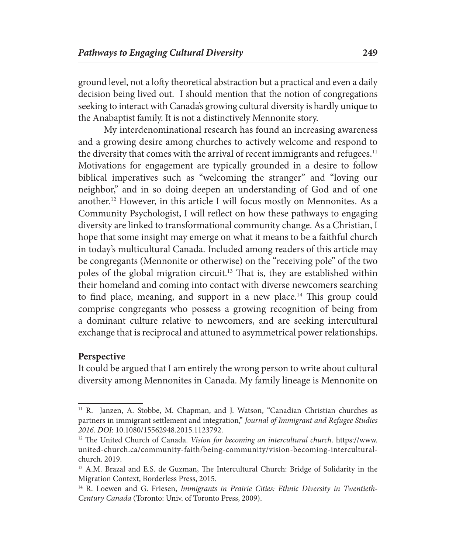ground level, not a lofty theoretical abstraction but a practical and even a daily decision being lived out. I should mention that the notion of congregations seeking to interact with Canada's growing cultural diversity is hardly unique to the Anabaptist family. It is not a distinctively Mennonite story.

My interdenominational research has found an increasing awareness and a growing desire among churches to actively welcome and respond to the diversity that comes with the arrival of recent immigrants and refugees.<sup>11</sup> Motivations for engagement are typically grounded in a desire to follow biblical imperatives such as "welcoming the stranger" and "loving our neighbor," and in so doing deepen an understanding of God and of one another.12 However, in this article I will focus mostly on Mennonites. As a Community Psychologist, I will reflect on how these pathways to engaging diversity are linked to transformational community change. As a Christian, I hope that some insight may emerge on what it means to be a faithful church in today's multicultural Canada. Included among readers of this article may be congregants (Mennonite or otherwise) on the "receiving pole" of the two poles of the global migration circuit.13 That is, they are established within their homeland and coming into contact with diverse newcomers searching to find place, meaning, and support in a new place.<sup>14</sup> This group could comprise congregants who possess a growing recognition of being from a dominant culture relative to newcomers, and are seeking intercultural exchange that is reciprocal and attuned to asymmetrical power relationships.

#### **Perspective**

It could be argued that I am entirely the wrong person to write about cultural diversity among Mennonites in Canada. My family lineage is Mennonite on

<sup>&</sup>lt;sup>11</sup> R. Janzen, A. Stobbe, M. Chapman, and J. Watson, "Canadian Christian churches as partners in immigrant settlement and integration," *Journal of Immigrant and Refugee Studies 2016. DOI*: 10.1080/15562948.2015.1123792.

<sup>12</sup> The United Church of Canada. *Vision for becoming an intercultural church*. https://www. united-church.ca/community-faith/being-community/vision-becoming-interculturalchurch. 2019.

<sup>&</sup>lt;sup>13</sup> A.M. Brazal and E.S. de Guzman, The Intercultural Church: Bridge of Solidarity in the Migration Context, Borderless Press, 2015.

<sup>&</sup>lt;sup>14</sup> R. Loewen and G. Friesen, *Immigrants in Prairie Cities: Ethnic Diversity in Twentieth-Century Canada* (Toronto: Univ. of Toronto Press, 2009).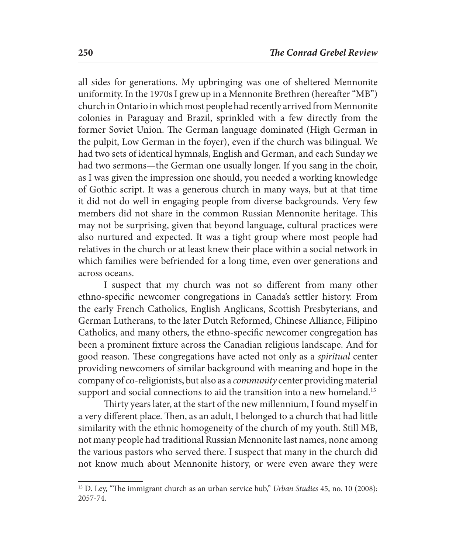all sides for generations. My upbringing was one of sheltered Mennonite uniformity. In the 1970s I grew up in a Mennonite Brethren (hereafter "MB") church in Ontario in which most people had recently arrived from Mennonite colonies in Paraguay and Brazil, sprinkled with a few directly from the former Soviet Union. The German language dominated (High German in the pulpit, Low German in the foyer), even if the church was bilingual. We had two sets of identical hymnals, English and German, and each Sunday we had two sermons—the German one usually longer. If you sang in the choir, as I was given the impression one should, you needed a working knowledge of Gothic script. It was a generous church in many ways, but at that time it did not do well in engaging people from diverse backgrounds. Very few members did not share in the common Russian Mennonite heritage. This may not be surprising, given that beyond language, cultural practices were also nurtured and expected. It was a tight group where most people had relatives in the church or at least knew their place within a social network in which families were befriended for a long time, even over generations and across oceans.

I suspect that my church was not so different from many other ethno-specific newcomer congregations in Canada's settler history. From the early French Catholics, English Anglicans, Scottish Presbyterians, and German Lutherans, to the later Dutch Reformed, Chinese Alliance, Filipino Catholics, and many others, the ethno-specific newcomer congregation has been a prominent fixture across the Canadian religious landscape. And for good reason. These congregations have acted not only as a *spiritual* center providing newcomers of similar background with meaning and hope in the company of co-religionists, but also as a *community* center providing material support and social connections to aid the transition into a new homeland.<sup>15</sup>

Thirty years later, at the start of the new millennium, I found myself in a very different place. Then, as an adult, I belonged to a church that had little similarity with the ethnic homogeneity of the church of my youth. Still MB, not many people had traditional Russian Mennonite last names, none among the various pastors who served there. I suspect that many in the church did not know much about Mennonite history, or were even aware they were

<sup>15</sup> D. Ley, "The immigrant church as an urban service hub," *Urban Studies* 45, no. 10 (2008): 2057-74.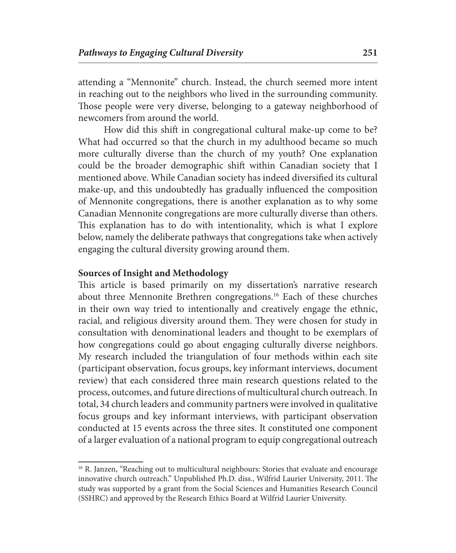attending a "Mennonite" church. Instead, the church seemed more intent in reaching out to the neighbors who lived in the surrounding community. Those people were very diverse, belonging to a gateway neighborhood of newcomers from around the world.

How did this shift in congregational cultural make-up come to be? What had occurred so that the church in my adulthood became so much more culturally diverse than the church of my youth? One explanation could be the broader demographic shift within Canadian society that I mentioned above. While Canadian society has indeed diversified its cultural make-up, and this undoubtedly has gradually influenced the composition of Mennonite congregations, there is another explanation as to why some Canadian Mennonite congregations are more culturally diverse than others. This explanation has to do with intentionality, which is what I explore below, namely the deliberate pathways that congregations take when actively engaging the cultural diversity growing around them.

## **Sources of Insight and Methodology**

This article is based primarily on my dissertation's narrative research about three Mennonite Brethren congregations.16 Each of these churches in their own way tried to intentionally and creatively engage the ethnic, racial, and religious diversity around them. They were chosen for study in consultation with denominational leaders and thought to be exemplars of how congregations could go about engaging culturally diverse neighbors. My research included the triangulation of four methods within each site (participant observation, focus groups, key informant interviews, document review) that each considered three main research questions related to the process, outcomes, and future directions of multicultural church outreach. In total, 34 church leaders and community partners were involved in qualitative focus groups and key informant interviews, with participant observation conducted at 15 events across the three sites. It constituted one component of a larger evaluation of a national program to equip congregational outreach

<sup>&</sup>lt;sup>16</sup> R. Janzen, "Reaching out to multicultural neighbours: Stories that evaluate and encourage innovative church outreach." Unpublished Ph.D. diss., Wilfrid Laurier University, 2011. The study was supported by a grant from the Social Sciences and Humanities Research Council (SSHRC) and approved by the Research Ethics Board at Wilfrid Laurier University.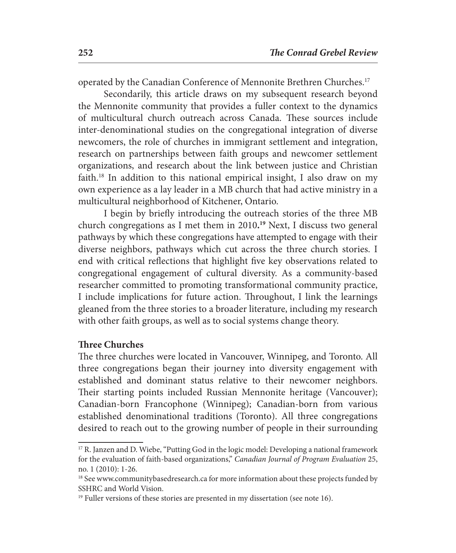operated by the Canadian Conference of Mennonite Brethren Churches.<sup>17</sup>

Secondarily, this article draws on my subsequent research beyond the Mennonite community that provides a fuller context to the dynamics of multicultural church outreach across Canada. These sources include inter-denominational studies on the congregational integration of diverse newcomers, the role of churches in immigrant settlement and integration, research on partnerships between faith groups and newcomer settlement organizations, and research about the link between justice and Christian faith.18 In addition to this national empirical insight, I also draw on my own experience as a lay leader in a MB church that had active ministry in a multicultural neighborhood of Kitchener, Ontario.

I begin by briefly introducing the outreach stories of the three MB church congregations as I met them in 2010**. <sup>19</sup>** Next, I discuss two general pathways by which these congregations have attempted to engage with their diverse neighbors, pathways which cut across the three church stories. I end with critical reflections that highlight five key observations related to congregational engagement of cultural diversity. As a community-based researcher committed to promoting transformational community practice, I include implications for future action. Throughout, I link the learnings gleaned from the three stories to a broader literature, including my research with other faith groups, as well as to social systems change theory.

## **Three Churches**

The three churches were located in Vancouver, Winnipeg, and Toronto. All three congregations began their journey into diversity engagement with established and dominant status relative to their newcomer neighbors. Their starting points included Russian Mennonite heritage (Vancouver); Canadian-born Francophone (Winnipeg); Canadian-born from various established denominational traditions (Toronto). All three congregations desired to reach out to the growing number of people in their surrounding

<sup>&</sup>lt;sup>17</sup> R. Janzen and D. Wiebe, "Putting God in the logic model: Developing a national framework for the evaluation of faith-based organizations," *Canadian Journal of Program Evaluation* 25, no. 1 (2010): 1-26.

<sup>&</sup>lt;sup>18</sup> See www.communitybasedresearch.ca for more information about these projects funded by SSHRC and World Vision.

<sup>&</sup>lt;sup>19</sup> Fuller versions of these stories are presented in my dissertation (see note 16).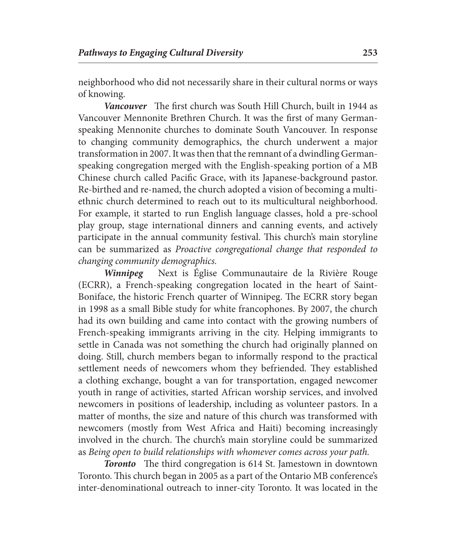neighborhood who did not necessarily share in their cultural norms or ways of knowing.

*Vancouver* The first church was South Hill Church, built in 1944 as Vancouver Mennonite Brethren Church. It was the first of many Germanspeaking Mennonite churches to dominate South Vancouver. In response to changing community demographics, the church underwent a major transformation in 2007. It was then that the remnant of a dwindling Germanspeaking congregation merged with the English-speaking portion of a MB Chinese church called Pacific Grace, with its Japanese-background pastor. Re-birthed and re-named, the church adopted a vision of becoming a multiethnic church determined to reach out to its multicultural neighborhood. For example, it started to run English language classes, hold a pre-school play group, stage international dinners and canning events, and actively participate in the annual community festival. This church's main storyline can be summarized as *Proactive congregational change that responded to changing community demographics.*

*Winnipeg* Next is Église Communautaire de la Rivière Rouge (ECRR), a French-speaking congregation located in the heart of Saint-Boniface, the historic French quarter of Winnipeg. The ECRR story began in 1998 as a small Bible study for white francophones. By 2007, the church had its own building and came into contact with the growing numbers of French-speaking immigrants arriving in the city. Helping immigrants to settle in Canada was not something the church had originally planned on doing. Still, church members began to informally respond to the practical settlement needs of newcomers whom they befriended. They established a clothing exchange, bought a van for transportation, engaged newcomer youth in range of activities, started African worship services, and involved newcomers in positions of leadership, including as volunteer pastors. In a matter of months, the size and nature of this church was transformed with newcomers (mostly from West Africa and Haiti) becoming increasingly involved in the church. The church's main storyline could be summarized as *Being open to build relationships with whomever comes across your path.*

*Toronto* The third congregation is 614 St. Jamestown in downtown Toronto. This church began in 2005 as a part of the Ontario MB conference's inter-denominational outreach to inner-city Toronto. It was located in the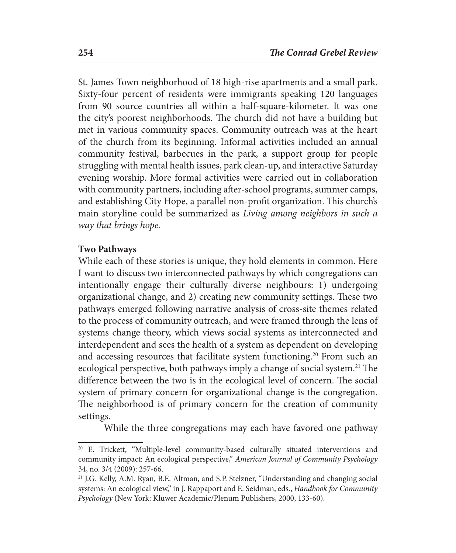St. James Town neighborhood of 18 high-rise apartments and a small park. Sixty-four percent of residents were immigrants speaking 120 languages from 90 source countries all within a half-square-kilometer. It was one the city's poorest neighborhoods. The church did not have a building but met in various community spaces. Community outreach was at the heart of the church from its beginning. Informal activities included an annual community festival, barbecues in the park, a support group for people struggling with mental health issues, park clean-up, and interactive Saturday evening worship. More formal activities were carried out in collaboration with community partners, including after-school programs, summer camps, and establishing City Hope, a parallel non-profit organization. This church's main storyline could be summarized as *Living among neighbors in such a way that brings hope.*

## **Two Pathways**

While each of these stories is unique, they hold elements in common. Here I want to discuss two interconnected pathways by which congregations can intentionally engage their culturally diverse neighbours: 1) undergoing organizational change, and 2) creating new community settings. These two pathways emerged following narrative analysis of cross-site themes related to the process of community outreach, and were framed through the lens of systems change theory, which views social systems as interconnected and interdependent and sees the health of a system as dependent on developing and accessing resources that facilitate system functioning.<sup>20</sup> From such an ecological perspective, both pathways imply a change of social system.<sup>21</sup> The difference between the two is in the ecological level of concern. The social system of primary concern for organizational change is the congregation. The neighborhood is of primary concern for the creation of community settings.

While the three congregations may each have favored one pathway

<sup>20</sup> E. Trickett, "Multiple-level community-based culturally situated interventions and community impact: An ecological perspective," *American Journal of Community Psychology* 34, no. 3/4 (2009): 257-66.

<sup>21</sup> J.G. Kelly, A.M. Ryan, B.E. Altman, and S.P. Stelzner, "Understanding and changing social systems: An ecological view," in J. Rappaport and E. Seidman, eds., *Handbook for Community Psychology* (New York: Kluwer Academic/Plenum Publishers, 2000, 133-60).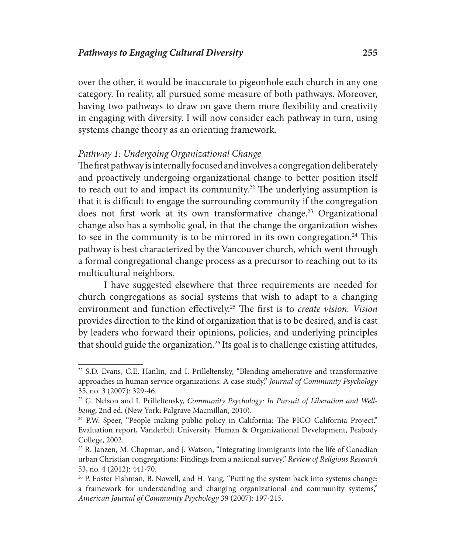over the other, it would be inaccurate to pigeonhole each church in any one category. In reality, all pursued some measure of both pathways. Moreover, having two pathways to draw on gave them more flexibility and creativity in engaging with diversity. I will now consider each pathway in turn, using systems change theory as an orienting framework.

## *Pathway 1: Undergoing Organizational Change*

The first pathway is internally focused and involves a congregation deliberately and proactively undergoing organizational change to better position itself to reach out to and impact its community.<sup>22</sup> The underlying assumption is that it is difficult to engage the surrounding community if the congregation does not first work at its own transformative change.<sup>23</sup> Organizational change also has a symbolic goal, in that the change the organization wishes to see in the community is to be mirrored in its own congregation.<sup>24</sup> This pathway is best characterized by the Vancouver church, which went through a formal congregational change process as a precursor to reaching out to its multicultural neighbors.

I have suggested elsewhere that three requirements are needed for church congregations as social systems that wish to adapt to a changing environment and function effectively.25 The first is to *create vision. Vision* provides direction to the kind of organization that is to be desired, and is cast by leaders who forward their opinions, policies, and underlying principles that should guide the organization.<sup>26</sup> Its goal is to challenge existing attitudes,

<sup>22</sup> S.D. Evans, C.E. Hanlin, and I. Prilleltensky, "Blending ameliorative and transformative approaches in human service organizations: A case study," *Journal of Community Psychology* 35, no. 3 (2007): 329-46.

<sup>&</sup>lt;sup>23</sup> G. Nelson and I. Prilleltensky, *Community Psychology: In Pursuit of Liberation and Wellbeing*, 2nd ed. (New York: Palgrave Macmillan, 2010).

<sup>&</sup>lt;sup>24</sup> P.W. Speer, "People making public policy in California: The PICO California Project." Evaluation report, Vanderbilt University. Human & Organizational Development, Peabody College, 2002.

<sup>25</sup> R. Janzen, M. Chapman, and J. Watson, "Integrating immigrants into the life of Canadian urban Christian congregations: Findings from a national survey," *Review of Religious Research* 53, no. 4 (2012): 441-70.

<sup>&</sup>lt;sup>26</sup> P. Foster Fishman, B. Nowell, and H. Yang, "Putting the system back into systems change: a framework for understanding and changing organizational and community systems," *American Journal of Community Psychology* 39 (2007): 197-215.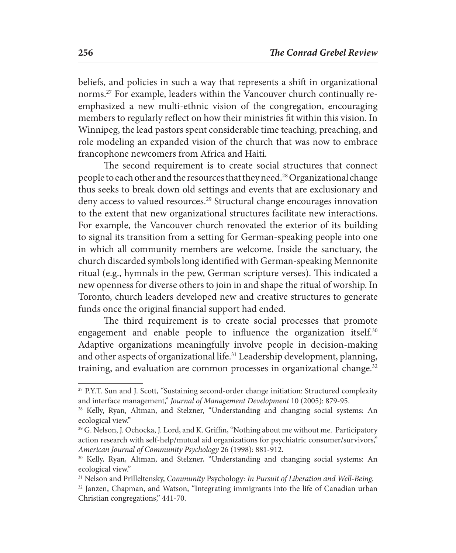beliefs, and policies in such a way that represents a shift in organizational norms.27 For example, leaders within the Vancouver church continually reemphasized a new multi-ethnic vision of the congregation, encouraging members to regularly reflect on how their ministries fit within this vision. In Winnipeg, the lead pastors spent considerable time teaching, preaching, and role modeling an expanded vision of the church that was now to embrace francophone newcomers from Africa and Haiti.

The second requirement is to create social structures that connect people to each other and the resources that they need.28 Organizational change thus seeks to break down old settings and events that are exclusionary and deny access to valued resources.29 Structural change encourages innovation to the extent that new organizational structures facilitate new interactions. For example, the Vancouver church renovated the exterior of its building to signal its transition from a setting for German-speaking people into one in which all community members are welcome. Inside the sanctuary, the church discarded symbols long identified with German-speaking Mennonite ritual (e.g., hymnals in the pew, German scripture verses). This indicated a new openness for diverse others to join in and shape the ritual of worship. In Toronto, church leaders developed new and creative structures to generate funds once the original financial support had ended.

The third requirement is to create social processes that promote engagement and enable people to influence the organization itself.<sup>30</sup> Adaptive organizations meaningfully involve people in decision-making and other aspects of organizational life.31 Leadership development, planning, training, and evaluation are common processes in organizational change.<sup>32</sup>

<sup>27</sup> P.Y.T. Sun and J. Scott, "Sustaining second-order change initiation: Structured complexity and interface management," *Journal of Management Development* 10 (2005): 879-95.

<sup>28</sup> Kelly, Ryan, Altman, and Stelzner, "Understanding and changing social systems: An ecological view."

 $29$  G. Nelson, J. Ochocka, J. Lord, and K. Griffin, "Nothing about me without me. Participatory action research with self-help/mutual aid organizations for psychiatric consumer/survivors," *American Journal of Community Psychology* 26 (1998): 881-912.<br><sup>30</sup> Kelly, Ryan, Altman, and Stelzner, "Understanding and changing social systems: An

ecological view."

<sup>31</sup> Nelson and Prilleltensky, *Community* Psychology*: In Pursuit of Liberation and Well-Being.*

<sup>32</sup> Janzen, Chapman, and Watson, "Integrating immigrants into the life of Canadian urban Christian congregations," 441-70.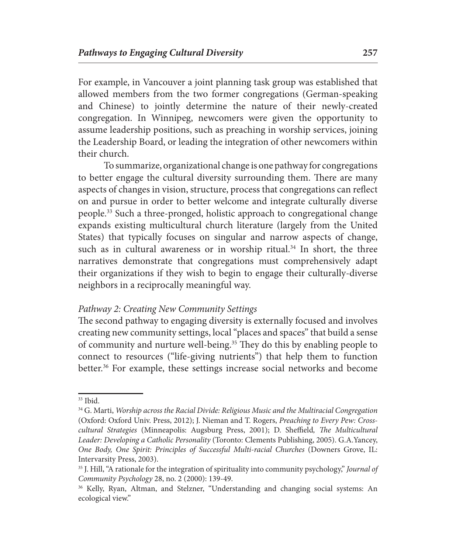For example, in Vancouver a joint planning task group was established that allowed members from the two former congregations (German-speaking and Chinese) to jointly determine the nature of their newly-created congregation. In Winnipeg, newcomers were given the opportunity to assume leadership positions, such as preaching in worship services, joining the Leadership Board, or leading the integration of other newcomers within their church.

To summarize, organizational change is one pathway for congregations to better engage the cultural diversity surrounding them. There are many aspects of changes in vision, structure, process that congregations can reflect on and pursue in order to better welcome and integrate culturally diverse people.33 Such a three-pronged, holistic approach to congregational change expands existing multicultural church literature (largely from the United States) that typically focuses on singular and narrow aspects of change, such as in cultural awareness or in worship ritual.<sup>34</sup> In short, the three narratives demonstrate that congregations must comprehensively adapt their organizations if they wish to begin to engage their culturally-diverse neighbors in a reciprocally meaningful way.

## *Pathway 2: Creating New Community Settings*

The second pathway to engaging diversity is externally focused and involves creating new community settings, local "places and spaces" that build a sense of community and nurture well-being.35 They do this by enabling people to connect to resources ("life-giving nutrients") that help them to function better.36 For example, these settings increase social networks and become

<sup>&</sup>lt;sup>33</sup> Ibid.<br><sup>34</sup> G. Marti, *Worship across the Racial Divide: Religious Music and the Multiracial Congregation* (Oxford: Oxford Univ. Press, 2012); J. Nieman and T. Rogers, *Preaching to Every Pew: Crosscultural Strategies* (Minneapolis: Augsburg Press, 2001); D. Sheffield*, The Multicultural Leader: Developing a Catholic Personality* (Toronto: Clements Publishing, 2005). G.A.Yancey, *One Body, One Spirit: Principles of Successful Multi-racial Churches* (Downers Grove, IL: Intervarsity Press, 2003).

<sup>35</sup> J. Hill, "A rationale for the integration of spirituality into community psychology," *Journal of Community Psychology* 28, no. 2 (2000): 139-49.

<sup>36</sup> Kelly, Ryan, Altman, and Stelzner, "Understanding and changing social systems: An ecological view."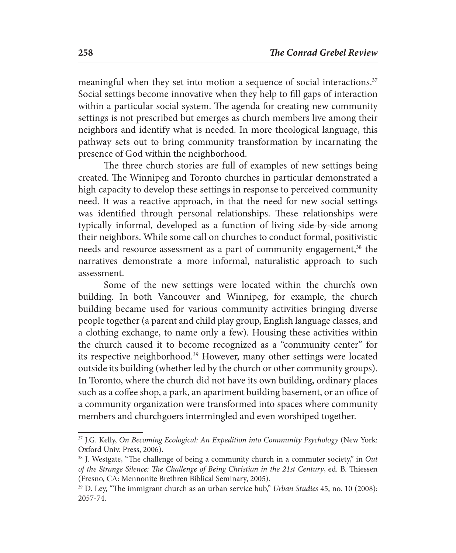meaningful when they set into motion a sequence of social interactions.<sup>37</sup> Social settings become innovative when they help to fill gaps of interaction within a particular social system. The agenda for creating new community settings is not prescribed but emerges as church members live among their neighbors and identify what is needed. In more theological language, this pathway sets out to bring community transformation by incarnating the presence of God within the neighborhood.

The three church stories are full of examples of new settings being created. The Winnipeg and Toronto churches in particular demonstrated a high capacity to develop these settings in response to perceived community need. It was a reactive approach, in that the need for new social settings was identified through personal relationships. These relationships were typically informal, developed as a function of living side-by-side among their neighbors. While some call on churches to conduct formal, positivistic needs and resource assessment as a part of community engagement,<sup>38</sup> the narratives demonstrate a more informal, naturalistic approach to such assessment.

Some of the new settings were located within the church's own building. In both Vancouver and Winnipeg, for example, the church building became used for various community activities bringing diverse people together (a parent and child play group, English language classes, and a clothing exchange, to name only a few). Housing these activities within the church caused it to become recognized as a "community center" for its respective neighborhood.<sup>39</sup> However, many other settings were located outside its building (whether led by the church or other community groups). In Toronto, where the church did not have its own building, ordinary places such as a coffee shop, a park, an apartment building basement, or an office of a community organization were transformed into spaces where community members and churchgoers intermingled and even worshiped together.

<sup>37</sup> J.G. Kelly, *On Becoming Ecological: An Expedition into Community Psychology* (New York: Oxford Univ. Press, 2006).

<sup>38</sup> J. Westgate, "The challenge of being a community church in a commuter society," in *Out of the Strange Silence: The Challenge of Being Christian in the 21st Century*, ed. B. Thiessen (Fresno, CA: Mennonite Brethren Biblical Seminary, 2005).

<sup>39</sup> D. Ley, "The immigrant church as an urban service hub," *Urban Studies* 45, no. 10 (2008): 2057-74.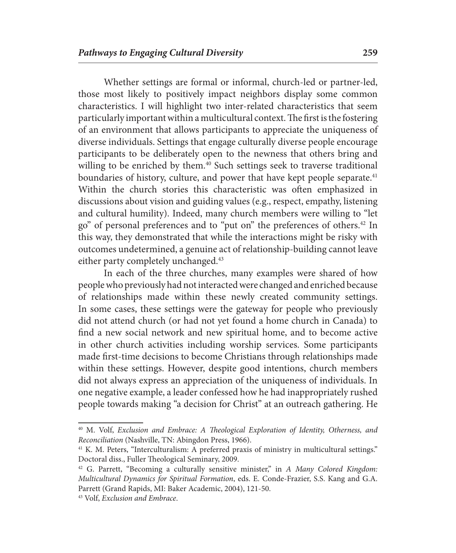Whether settings are formal or informal, church-led or partner-led, those most likely to positively impact neighbors display some common characteristics. I will highlight two inter-related characteristics that seem particularly important within a multicultural context. The first is the fostering of an environment that allows participants to appreciate the uniqueness of diverse individuals. Settings that engage culturally diverse people encourage participants to be deliberately open to the newness that others bring and willing to be enriched by them.<sup>40</sup> Such settings seek to traverse traditional boundaries of history, culture, and power that have kept people separate.<sup>41</sup> Within the church stories this characteristic was often emphasized in discussions about vision and guiding values (e.g., respect, empathy, listening and cultural humility). Indeed, many church members were willing to "let go" of personal preferences and to "put on" the preferences of others.42 In this way, they demonstrated that while the interactions might be risky with outcomes undetermined, a genuine act of relationship-building cannot leave either party completely unchanged.<sup>43</sup>

In each of the three churches, many examples were shared of how people who previously had not interacted were changed and enriched because of relationships made within these newly created community settings. In some cases, these settings were the gateway for people who previously did not attend church (or had not yet found a home church in Canada) to find a new social network and new spiritual home, and to become active in other church activities including worship services. Some participants made first-time decisions to become Christians through relationships made within these settings. However, despite good intentions, church members did not always express an appreciation of the uniqueness of individuals. In one negative example, a leader confessed how he had inappropriately rushed people towards making "a decision for Christ" at an outreach gathering. He

<sup>40</sup> M. Volf, *Exclusion and Embrace: A Theological Exploration of Identity, Otherness, and Reconciliation* (Nashville, TN: Abingdon Press, 1966).

<sup>&</sup>lt;sup>41</sup> K. M. Peters, "Interculturalism: A preferred praxis of ministry in multicultural settings." Doctoral diss., Fuller Theological Seminary, 2009.

<sup>42</sup> G. Parrett, "Becoming a culturally sensitive minister," in *A Many Colored Kingdom: Multicultural Dynamics for Spiritual Formation*, eds. E. Conde-Frazier, S.S. Kang and G.A. Parrett (Grand Rapids, MI: Baker Academic, 2004), 121-50.

<sup>43</sup> Volf, *Exclusion and Embrace*.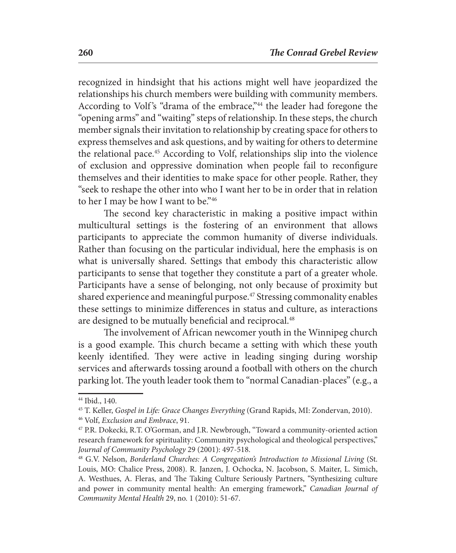recognized in hindsight that his actions might well have jeopardized the relationships his church members were building with community members. According to Volf's "drama of the embrace,"<sup>44</sup> the leader had foregone the "opening arms" and "waiting" steps of relationship. In these steps, the church member signals their invitation to relationship by creating space for others to express themselves and ask questions, and by waiting for others to determine the relational pace.45 According to Volf, relationships slip into the violence of exclusion and oppressive domination when people fail to reconfigure themselves and their identities to make space for other people. Rather, they "seek to reshape the other into who I want her to be in order that in relation to her I may be how I want to be."46

The second key characteristic in making a positive impact within multicultural settings is the fostering of an environment that allows participants to appreciate the common humanity of diverse individuals. Rather than focusing on the particular individual, here the emphasis is on what is universally shared. Settings that embody this characteristic allow participants to sense that together they constitute a part of a greater whole. Participants have a sense of belonging, not only because of proximity but shared experience and meaningful purpose.<sup>47</sup> Stressing commonality enables these settings to minimize differences in status and culture, as interactions are designed to be mutually beneficial and reciprocal.<sup>48</sup>

The involvement of African newcomer youth in the Winnipeg church is a good example. This church became a setting with which these youth keenly identified. They were active in leading singing during worship services and afterwards tossing around a football with others on the church parking lot. The youth leader took them to "normal Canadian-places" (e.g., a

<sup>44</sup> Ibid., 140.

<sup>45</sup> T. Keller, *Gospel in Life: Grace Changes Everything* (Grand Rapids, MI: Zondervan, 2010).

<sup>46</sup> Volf, *Exclusion and Embrace*, 91.

<sup>47</sup> P.R. Dokecki, R.T. O'Gorman, and J.R. Newbrough, "Toward a community-oriented action research framework for spirituality: Community psychological and theological perspectives," *Journal of Community Psychology* 29 (2001): 497-518.

<sup>48</sup> G.V. Nelson, *Borderland Churches: A Congregation's Introduction to Missional Living* (St. Louis, MO: Chalice Press, 2008). R. Janzen, J. Ochocka, N. Jacobson, S. Maiter, L. Simich, A. Westhues, A. Fleras, and The Taking Culture Seriously Partners, "Synthesizing culture and power in community mental health: An emerging framework," *Canadian Journal of Community Mental Health* 29, no. 1 (2010): 51-67.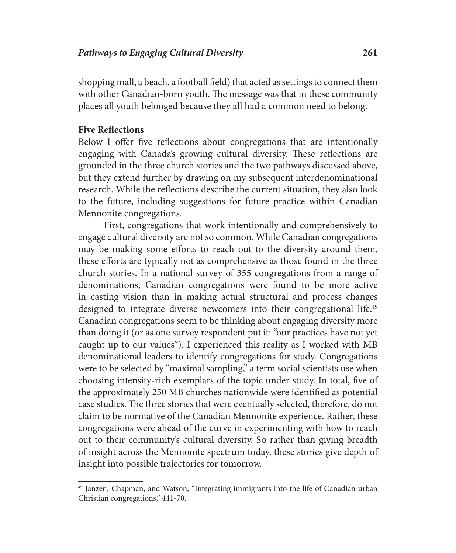shopping mall, a beach, a football field) that acted as settings to connect them with other Canadian-born youth. The message was that in these community places all youth belonged because they all had a common need to belong.

#### **Five Reflections**

Below I offer five reflections about congregations that are intentionally engaging with Canada's growing cultural diversity. These reflections are grounded in the three church stories and the two pathways discussed above, but they extend further by drawing on my subsequent interdenominational research. While the reflections describe the current situation, they also look to the future, including suggestions for future practice within Canadian Mennonite congregations.

First, congregations that work intentionally and comprehensively to engage cultural diversity are not so common. While Canadian congregations may be making some efforts to reach out to the diversity around them, these efforts are typically not as comprehensive as those found in the three church stories. In a national survey of 355 congregations from a range of denominations, Canadian congregations were found to be more active in casting vision than in making actual structural and process changes designed to integrate diverse newcomers into their congregational life.<sup>49</sup> Canadian congregations seem to be thinking about engaging diversity more than doing it (or as one survey respondent put it: "our practices have not yet caught up to our values"). I experienced this reality as I worked with MB denominational leaders to identify congregations for study. Congregations were to be selected by "maximal sampling," a term social scientists use when choosing intensity-rich exemplars of the topic under study. In total, five of the approximately 250 MB churches nationwide were identified as potential case studies. The three stories that were eventually selected, therefore, do not claim to be normative of the Canadian Mennonite experience. Rather, these congregations were ahead of the curve in experimenting with how to reach out to their community's cultural diversity. So rather than giving breadth of insight across the Mennonite spectrum today, these stories give depth of insight into possible trajectories for tomorrow.

<sup>&</sup>lt;sup>49</sup> Janzen, Chapman, and Watson, "Integrating immigrants into the life of Canadian urban Christian congregations," 441-70.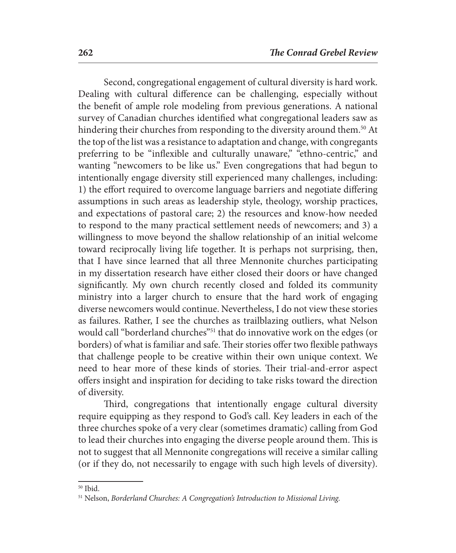Second, congregational engagement of cultural diversity is hard work. Dealing with cultural difference can be challenging, especially without the benefit of ample role modeling from previous generations. A national survey of Canadian churches identified what congregational leaders saw as hindering their churches from responding to the diversity around them.<sup>50</sup> At the top of the list was a resistance to adaptation and change, with congregants preferring to be "inflexible and culturally unaware," "ethno-centric," and wanting "newcomers to be like us." Even congregations that had begun to intentionally engage diversity still experienced many challenges, including: 1) the effort required to overcome language barriers and negotiate differing assumptions in such areas as leadership style, theology, worship practices, and expectations of pastoral care; 2) the resources and know-how needed to respond to the many practical settlement needs of newcomers; and 3) a willingness to move beyond the shallow relationship of an initial welcome toward reciprocally living life together. It is perhaps not surprising, then, that I have since learned that all three Mennonite churches participating in my dissertation research have either closed their doors or have changed significantly. My own church recently closed and folded its community ministry into a larger church to ensure that the hard work of engaging diverse newcomers would continue. Nevertheless, I do not view these stories as failures. Rather, I see the churches as trailblazing outliers, what Nelson would call "borderland churches"<sup>51</sup> that do innovative work on the edges (or borders) of what is familiar and safe. Their stories offer two flexible pathways that challenge people to be creative within their own unique context. We need to hear more of these kinds of stories. Their trial-and-error aspect offers insight and inspiration for deciding to take risks toward the direction of diversity.

Third, congregations that intentionally engage cultural diversity require equipping as they respond to God's call. Key leaders in each of the three churches spoke of a very clear (sometimes dramatic) calling from God to lead their churches into engaging the diverse people around them. This is not to suggest that all Mennonite congregations will receive a similar calling (or if they do, not necessarily to engage with such high levels of diversity).

<sup>50</sup> Ibid.

<sup>51</sup> Nelson, *Borderland Churches: A Congregation's Introduction to Missional Living.*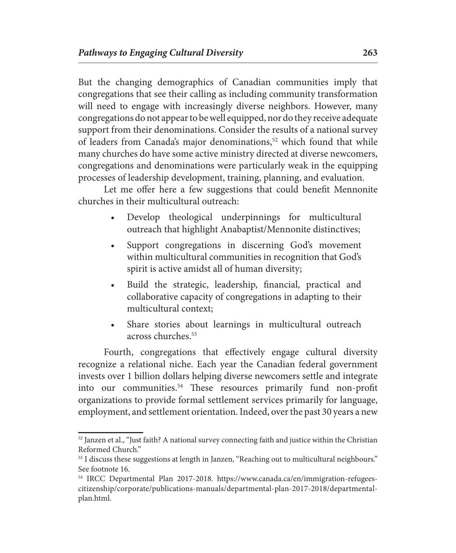But the changing demographics of Canadian communities imply that congregations that see their calling as including community transformation will need to engage with increasingly diverse neighbors. However, many congregations do not appear to be well equipped, nor do they receive adequate support from their denominations. Consider the results of a national survey of leaders from Canada's major denominations,<sup>52</sup> which found that while many churches do have some active ministry directed at diverse newcomers, congregations and denominations were particularly weak in the equipping processes of leadership development, training, planning, and evaluation.

Let me offer here a few suggestions that could benefit Mennonite churches in their multicultural outreach:

- Develop theological underpinnings for multicultural outreach that highlight Anabaptist/Mennonite distinctives;
- Support congregations in discerning God's movement within multicultural communities in recognition that God's spirit is active amidst all of human diversity;
- Build the strategic, leadership, financial, practical and collaborative capacity of congregations in adapting to their multicultural context;
- Share stories about learnings in multicultural outreach across churches.<sup>53</sup>

Fourth, congregations that effectively engage cultural diversity recognize a relational niche. Each year the Canadian federal government invests over 1 billion dollars helping diverse newcomers settle and integrate into our communities.54 These resources primarily fund non-profit organizations to provide formal settlement services primarily for language, employment, and settlement orientation. Indeed, over the past 30 years a new

 $52$  Janzen et al., "Just faith? A national survey connecting faith and justice within the Christian Reformed Church."

<sup>&</sup>lt;sup>53</sup> I discuss these suggestions at length in Janzen, "Reaching out to multicultural neighbours." See footnote 16.

<sup>54</sup> IRCC Departmental Plan 2017-2018. https://www.canada.ca/en/immigration-refugeescitizenship/corporate/publications-manuals/departmental-plan-2017-2018/departmentalplan.html.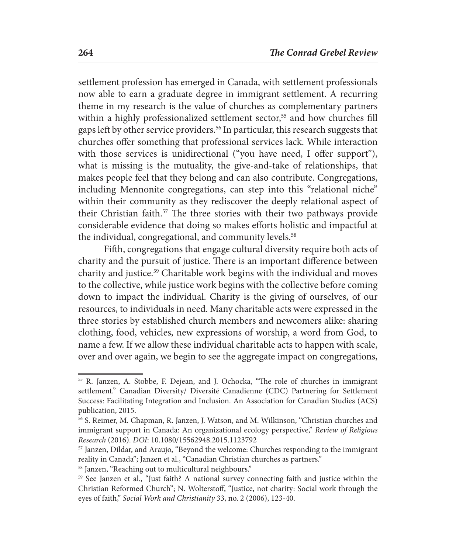settlement profession has emerged in Canada, with settlement professionals now able to earn a graduate degree in immigrant settlement. A recurring theme in my research is the value of churches as complementary partners within a highly professionalized settlement sector,<sup>55</sup> and how churches fill gaps left by other service providers.56 In particular, this research suggests that churches offer something that professional services lack. While interaction with those services is unidirectional ("you have need, I offer support"), what is missing is the mutuality, the give-and-take of relationships, that makes people feel that they belong and can also contribute. Congregations, including Mennonite congregations, can step into this "relational niche" within their community as they rediscover the deeply relational aspect of their Christian faith.<sup>57</sup> The three stories with their two pathways provide considerable evidence that doing so makes efforts holistic and impactful at the individual, congregational, and community levels.<sup>58</sup>

Fifth, congregations that engage cultural diversity require both acts of charity and the pursuit of justice. There is an important difference between charity and justice.59 Charitable work begins with the individual and moves to the collective, while justice work begins with the collective before coming down to impact the individual. Charity is the giving of ourselves, of our resources, to individuals in need. Many charitable acts were expressed in the three stories by established church members and newcomers alike: sharing clothing, food, vehicles, new expressions of worship, a word from God, to name a few. If we allow these individual charitable acts to happen with scale, over and over again, we begin to see the aggregate impact on congregations,

<sup>55</sup> R. Janzen, A. Stobbe, F. Dejean, and J. Ochocka, "The role of churches in immigrant settlement." Canadian Diversity/ Diversité Canadienne (CDC) Partnering for Settlement Success: Facilitating Integration and Inclusion. An Association for Canadian Studies (ACS) publication, 2015.

<sup>56</sup> S. Reimer, M. Chapman, R. Janzen, J. Watson, and M. Wilkinson, "Christian churches and immigrant support in Canada: An organizational ecology perspective," *Review of Religious Research* (2016). *DOI*: 10.1080/15562948.2015.1123792<br><sup>57</sup> Janzen, Dildar, and Araujo, "Beyond the welcome: Churches responding to the immigrant

reality in Canada"; Janzen et al., "Canadian Christian churches as partners."

<sup>58</sup> Janzen, "Reaching out to multicultural neighbours."

<sup>59</sup> See Janzen et al., "Just faith? A national survey connecting faith and justice within the Christian Reformed Church"; N. Wolterstoff, "Justice, not charity: Social work through the eyes of faith," *Social Work and Christianity* 33, no. 2 (2006), 123-40.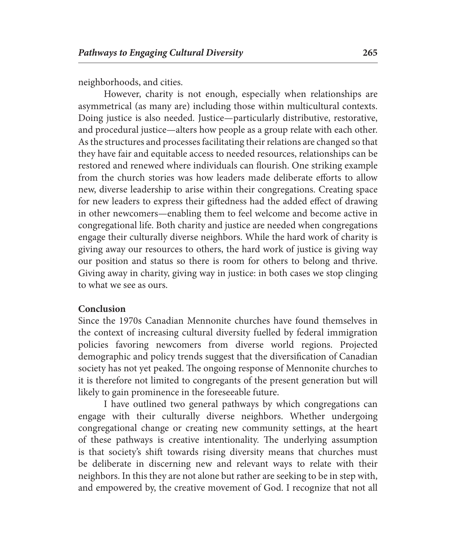neighborhoods, and cities.

However, charity is not enough, especially when relationships are asymmetrical (as many are) including those within multicultural contexts. Doing justice is also needed. Justice—particularly distributive, restorative, and procedural justice—alters how people as a group relate with each other. As the structures and processes facilitating their relations are changed so that they have fair and equitable access to needed resources, relationships can be restored and renewed where individuals can flourish. One striking example from the church stories was how leaders made deliberate efforts to allow new, diverse leadership to arise within their congregations. Creating space for new leaders to express their giftedness had the added effect of drawing in other newcomers—enabling them to feel welcome and become active in congregational life. Both charity and justice are needed when congregations engage their culturally diverse neighbors. While the hard work of charity is giving away our resources to others, the hard work of justice is giving way our position and status so there is room for others to belong and thrive. Giving away in charity, giving way in justice: in both cases we stop clinging to what we see as ours.

#### **Conclusion**

Since the 1970s Canadian Mennonite churches have found themselves in the context of increasing cultural diversity fuelled by federal immigration policies favoring newcomers from diverse world regions. Projected demographic and policy trends suggest that the diversification of Canadian society has not yet peaked. The ongoing response of Mennonite churches to it is therefore not limited to congregants of the present generation but will likely to gain prominence in the foreseeable future.

I have outlined two general pathways by which congregations can engage with their culturally diverse neighbors. Whether undergoing congregational change or creating new community settings, at the heart of these pathways is creative intentionality. The underlying assumption is that society's shift towards rising diversity means that churches must be deliberate in discerning new and relevant ways to relate with their neighbors. In this they are not alone but rather are seeking to be in step with, and empowered by, the creative movement of God. I recognize that not all